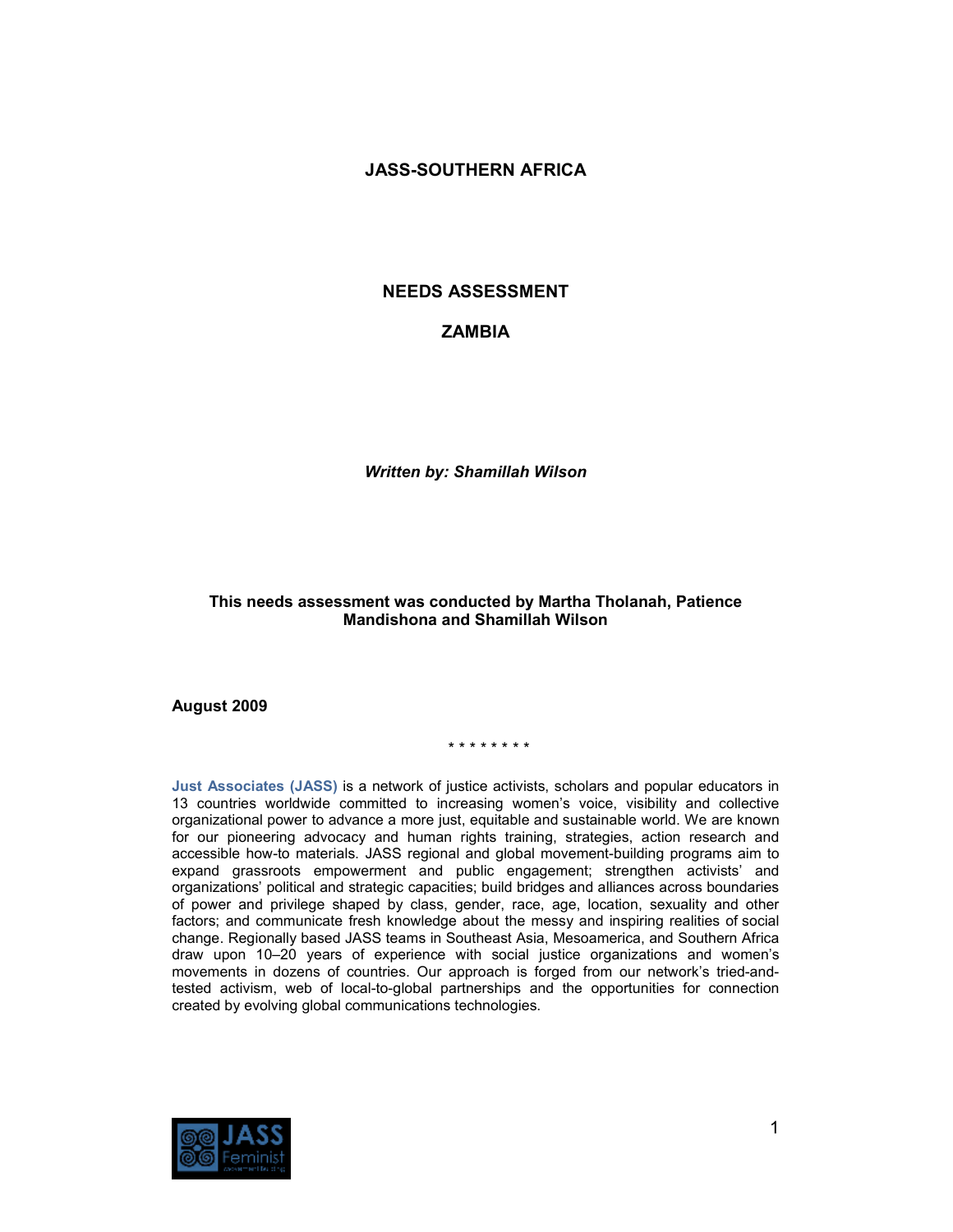## **JASS-SOUTHERN AFRICA**

## **NEEDS ASSESSMENT**

## **ZAMBIA**

*Written by: Shamillah Wilson* 

## **This needs assessment was conducted by Martha Tholanah, Patience Mandishona and Shamillah Wilson**

#### **August 2009**

#### \* \* \* \* \* \* \* \*

**Just Associates (JASS)** is a network of justice activists, scholars and popular educators in 13 countries worldwide committed to increasing women's voice, visibility and collective organizational power to advance a more just, equitable and sustainable world. We are known for our pioneering advocacy and human rights training, strategies, action research and accessible how-to materials. JASS regional and global movement-building programs aim to expand grassroots empowerment and public engagement; strengthen activists' and organizations' political and strategic capacities; build bridges and alliances across boundaries of power and privilege shaped by class, gender, race, age, location, sexuality and other factors; and communicate fresh knowledge about the messy and inspiring realities of social change. Regionally based JASS teams in Southeast Asia, Mesoamerica, and Southern Africa draw upon 10–20 years of experience with social justice organizations and women's movements in dozens of countries. Our approach is forged from our network's tried-andtested activism, web of local-to-global partnerships and the opportunities for connection created by evolving global communications technologies.

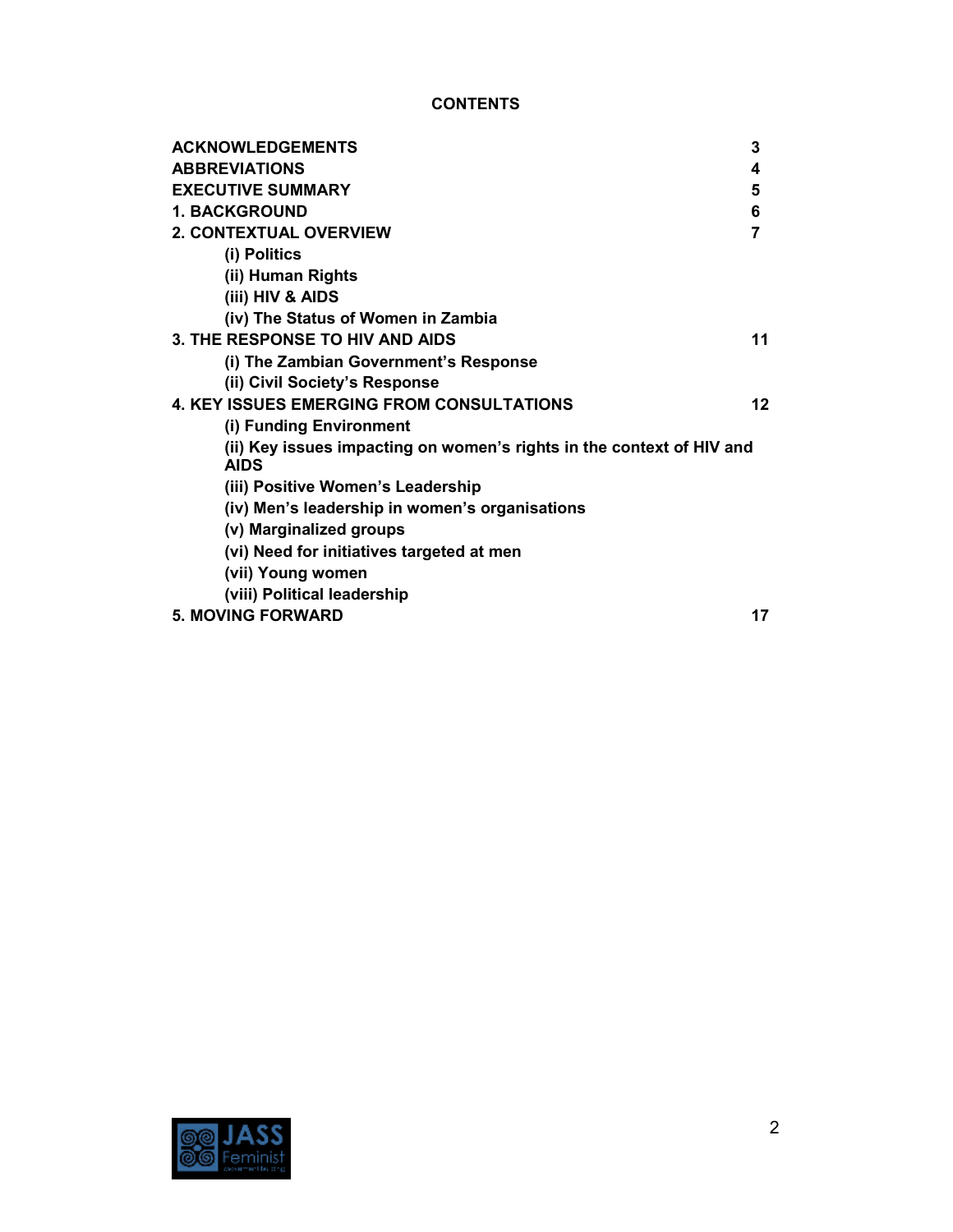# **CONTENTS**

| <b>ACKNOWLEDGEMENTS</b>                                                              | 3  |
|--------------------------------------------------------------------------------------|----|
| <b>ABBREVIATIONS</b>                                                                 | 4  |
| <b>EXECUTIVE SUMMARY</b>                                                             | 5  |
| <b>1. BACKGROUND</b>                                                                 | 6  |
| <b>2. CONTEXTUAL OVERVIEW</b>                                                        | 7  |
| (i) Politics                                                                         |    |
| (ii) Human Rights                                                                    |    |
| (iii) HIV & AIDS                                                                     |    |
| (iv) The Status of Women in Zambia                                                   |    |
| 3. THE RESPONSE TO HIV AND AIDS                                                      | 11 |
| (i) The Zambian Government's Response                                                |    |
| (ii) Civil Society's Response                                                        |    |
| <b>4. KEY ISSUES EMERGING FROM CONSULTATIONS</b>                                     | 12 |
| (i) Funding Environment                                                              |    |
| (ii) Key issues impacting on women's rights in the context of HIV and<br><b>AIDS</b> |    |
| (iii) Positive Women's Leadership                                                    |    |
| (iv) Men's leadership in women's organisations                                       |    |
| (v) Marginalized groups                                                              |    |
| (vi) Need for initiatives targeted at men                                            |    |
| (vii) Young women                                                                    |    |
| (viii) Political leadership                                                          |    |
| <b>5. MOVING FORWARD</b>                                                             | 17 |

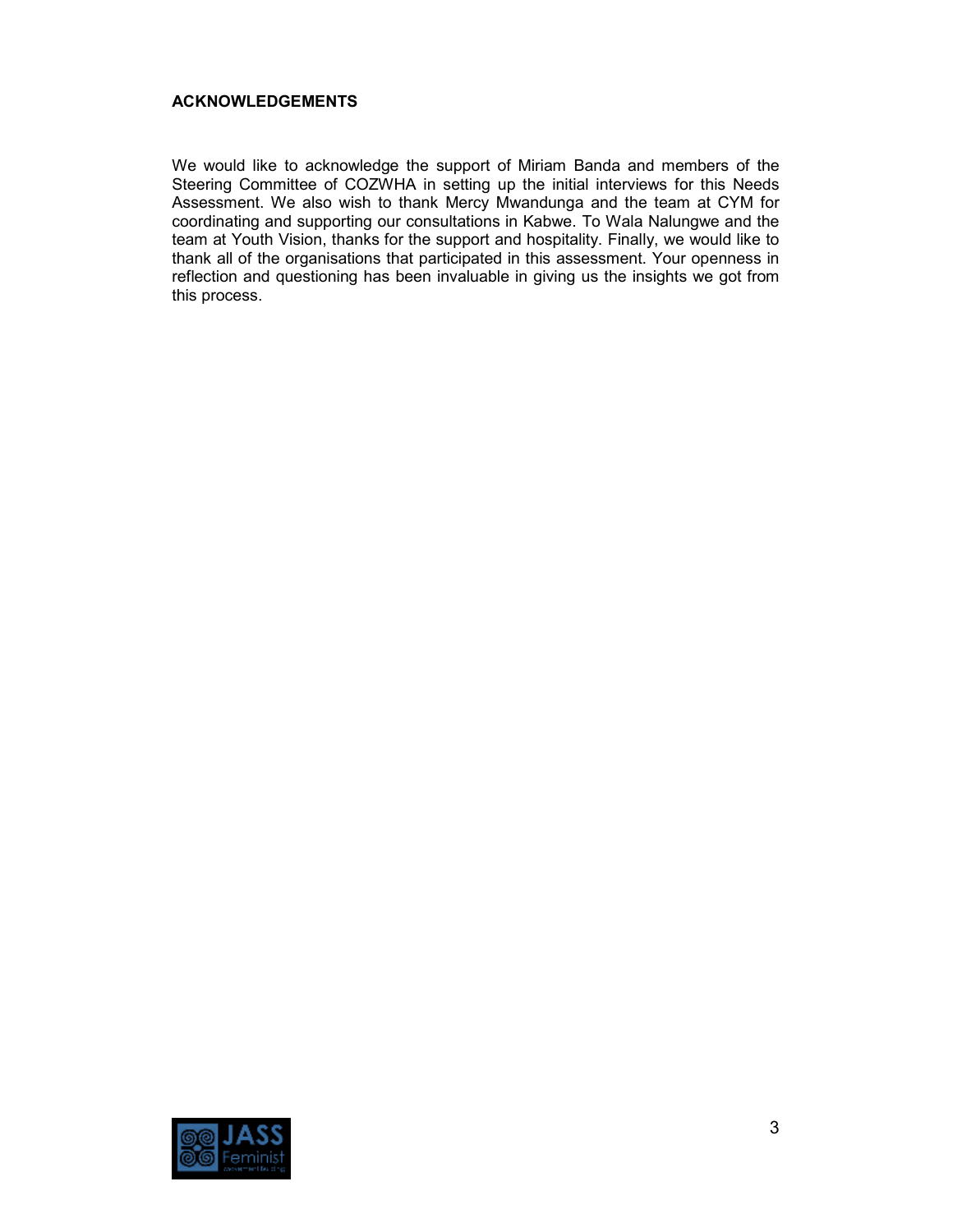#### **ACKNOWLEDGEMENTS**

We would like to acknowledge the support of Miriam Banda and members of the Steering Committee of COZWHA in setting up the initial interviews for this Needs Assessment. We also wish to thank Mercy Mwandunga and the team at CYM for coordinating and supporting our consultations in Kabwe. To Wala Nalungwe and the team at Youth Vision, thanks for the support and hospitality. Finally, we would like to thank all of the organisations that participated in this assessment. Your openness in reflection and questioning has been invaluable in giving us the insights we got from this process.

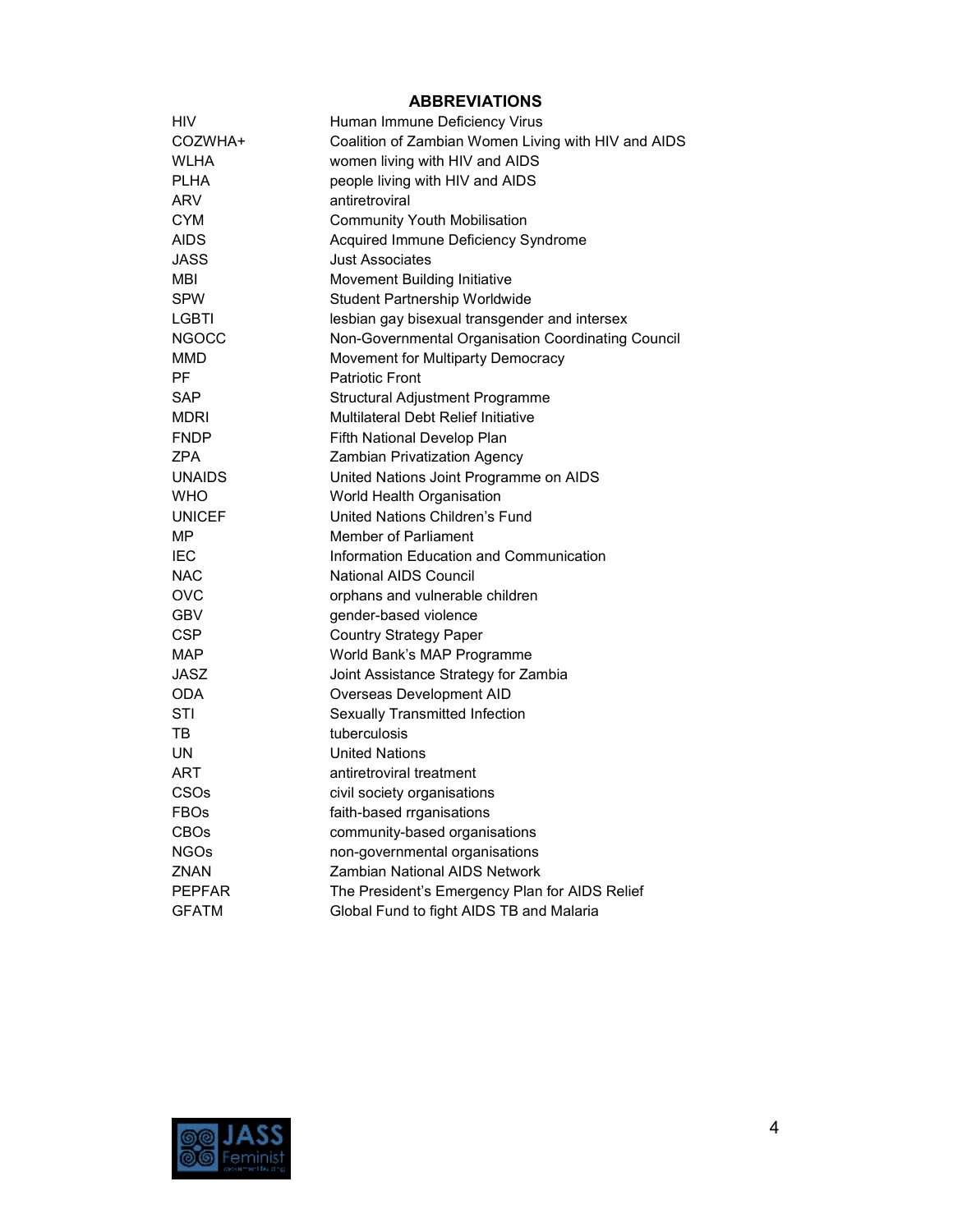## **ABBREVIATIONS**

| HIV           | Human Immune Deficiency Virus                       |
|---------------|-----------------------------------------------------|
| COZWHA+       | Coalition of Zambian Women Living with HIV and AIDS |
| WLHA          | women living with HIV and AIDS                      |
| <b>PLHA</b>   | people living with HIV and AIDS                     |
| ARV           | antiretroviral                                      |
| <b>CYM</b>    | <b>Community Youth Mobilisation</b>                 |
| AIDS          | Acquired Immune Deficiency Syndrome                 |
| JASS          | <b>Just Associates</b>                              |
| MBI           | Movement Building Initiative                        |
| <b>SPW</b>    | <b>Student Partnership Worldwide</b>                |
| LGBTI         | lesbian gay bisexual transgender and intersex       |
| <b>NGOCC</b>  | Non-Governmental Organisation Coordinating Council  |
| <b>MMD</b>    | Movement for Multiparty Democracy                   |
| PF            | <b>Patriotic Front</b>                              |
| <b>SAP</b>    | Structural Adjustment Programme                     |
| <b>MDRI</b>   | Multilateral Debt Relief Initiative                 |
| <b>FNDP</b>   | Fifth National Develop Plan                         |
| ZPA           | Zambian Privatization Agency                        |
| <b>UNAIDS</b> | United Nations Joint Programme on AIDS              |
| <b>WHO</b>    | World Health Organisation                           |
| <b>UNICEF</b> | United Nations Children's Fund                      |
| MΡ            | Member of Parliament                                |
| <b>IEC</b>    | Information Education and Communication             |
| <b>NAC</b>    | <b>National AIDS Council</b>                        |
| <b>OVC</b>    | orphans and vulnerable children                     |
| GBV           | gender-based violence                               |
| <b>CSP</b>    | <b>Country Strategy Paper</b>                       |
| <b>MAP</b>    | World Bank's MAP Programme                          |
| JASZ          | Joint Assistance Strategy for Zambia                |
| ODA           | Overseas Development AID                            |
| STI           | Sexually Transmitted Infection                      |
| TB            | tuberculosis                                        |
| UN            | <b>United Nations</b>                               |
| ART           | antiretroviral treatment                            |
| CSOs          | civil society organisations                         |
| <b>FBOs</b>   | faith-based rrganisations                           |
| <b>CBOs</b>   | community-based organisations                       |
| <b>NGOs</b>   | non-governmental organisations                      |
| <b>ZNAN</b>   | Zambian National AIDS Network                       |
| <b>PEPFAR</b> | The President's Emergency Plan for AIDS Relief      |
| <b>GFATM</b>  | Global Fund to fight AIDS TB and Malaria            |

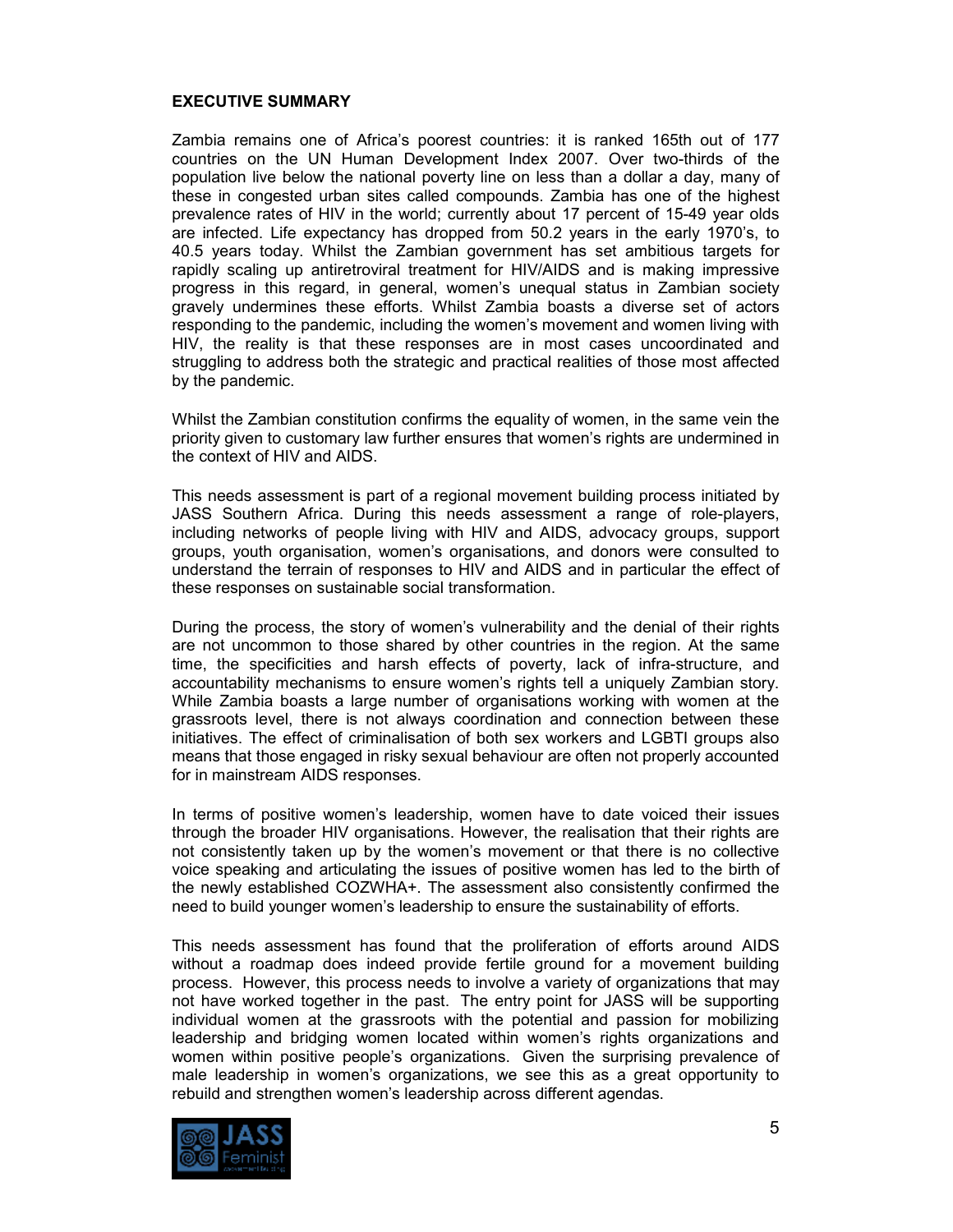#### **EXECUTIVE SUMMARY**

Zambia remains one of Africa's poorest countries: it is ranked 165th out of 177 countries on the UN Human Development Index 2007. Over two-thirds of the population live below the national poverty line on less than a dollar a day, many of these in congested urban sites called compounds. Zambia has one of the highest prevalence rates of HIV in the world; currently about 17 percent of 15-49 year olds are infected. Life expectancy has dropped from 50.2 years in the early 1970's, to 40.5 years today. Whilst the Zambian government has set ambitious targets for rapidly scaling up antiretroviral treatment for HIV/AIDS and is making impressive progress in this regard, in general, women's unequal status in Zambian society gravely undermines these efforts. Whilst Zambia boasts a diverse set of actors responding to the pandemic, including the women's movement and women living with HIV, the reality is that these responses are in most cases uncoordinated and struggling to address both the strategic and practical realities of those most affected by the pandemic.

Whilst the Zambian constitution confirms the equality of women, in the same vein the priority given to customary law further ensures that women's rights are undermined in the context of HIV and AIDS.

This needs assessment is part of a regional movement building process initiated by JASS Southern Africa. During this needs assessment a range of role-players, including networks of people living with HIV and AIDS, advocacy groups, support groups, youth organisation, women's organisations, and donors were consulted to understand the terrain of responses to HIV and AIDS and in particular the effect of these responses on sustainable social transformation.

During the process, the story of women's vulnerability and the denial of their rights are not uncommon to those shared by other countries in the region. At the same time, the specificities and harsh effects of poverty, lack of infra-structure, and accountability mechanisms to ensure women's rights tell a uniquely Zambian story. While Zambia boasts a large number of organisations working with women at the grassroots level, there is not always coordination and connection between these initiatives. The effect of criminalisation of both sex workers and LGBTI groups also means that those engaged in risky sexual behaviour are often not properly accounted for in mainstream AIDS responses.

In terms of positive women's leadership, women have to date voiced their issues through the broader HIV organisations. However, the realisation that their rights are not consistently taken up by the women's movement or that there is no collective voice speaking and articulating the issues of positive women has led to the birth of the newly established COZWHA+. The assessment also consistently confirmed the need to build younger women's leadership to ensure the sustainability of efforts.

This needs assessment has found that the proliferation of efforts around AIDS without a roadmap does indeed provide fertile ground for a movement building process. However, this process needs to involve a variety of organizations that may not have worked together in the past. The entry point for JASS will be supporting individual women at the grassroots with the potential and passion for mobilizing leadership and bridging women located within women's rights organizations and women within positive people's organizations. Given the surprising prevalence of male leadership in women's organizations, we see this as a great opportunity to rebuild and strengthen women's leadership across different agendas.

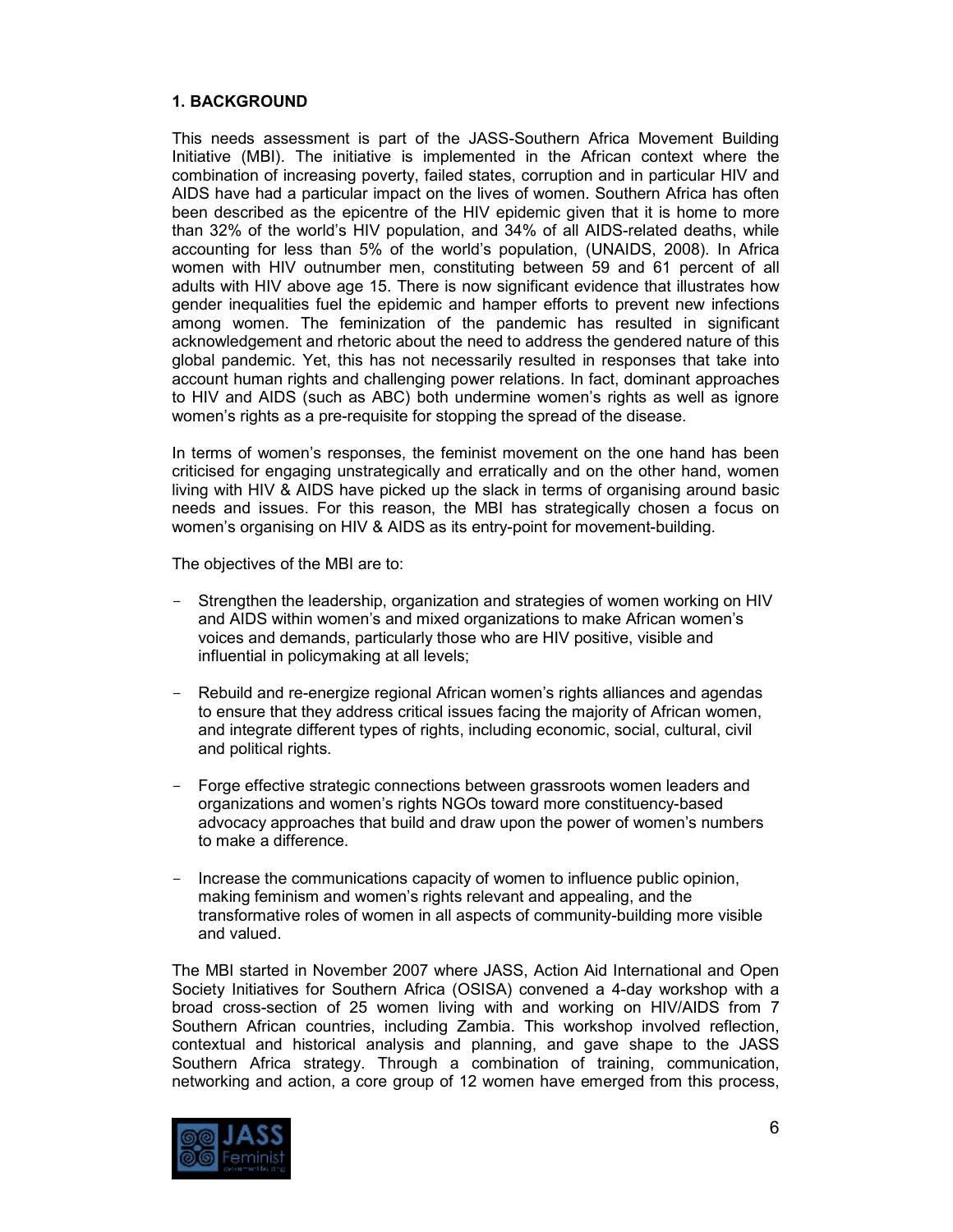## **1. BACKGROUND**

This needs assessment is part of the JASS-Southern Africa Movement Building Initiative (MBI). The initiative is implemented in the African context where the combination of increasing poverty, failed states, corruption and in particular HIV and AIDS have had a particular impact on the lives of women. Southern Africa has often been described as the epicentre of the HIV epidemic given that it is home to more than 32% of the world's HIV population, and 34% of all AIDS-related deaths, while accounting for less than 5% of the world's population, (UNAIDS, 2008). In Africa women with HIV outnumber men, constituting between 59 and 61 percent of all adults with HIV above age 15. There is now significant evidence that illustrates how gender inequalities fuel the epidemic and hamper efforts to prevent new infections among women. The feminization of the pandemic has resulted in significant acknowledgement and rhetoric about the need to address the gendered nature of this global pandemic. Yet, this has not necessarily resulted in responses that take into account human rights and challenging power relations. In fact, dominant approaches to HIV and AIDS (such as ABC) both undermine women's rights as well as ignore women's rights as a pre-requisite for stopping the spread of the disease.

In terms of women's responses, the feminist movement on the one hand has been criticised for engaging unstrategically and erratically and on the other hand, women living with HIV & AIDS have picked up the slack in terms of organising around basic needs and issues. For this reason, the MBI has strategically chosen a focus on women's organising on HIV & AIDS as its entry-point for movement-building.

The objectives of the MBI are to:

- Strengthen the leadership, organization and strategies of women working on HIV and AIDS within women's and mixed organizations to make African women's voices and demands, particularly those who are HIV positive, visible and influential in policymaking at all levels;
- Rebuild and re-energize regional African women's rights alliances and agendas to ensure that they address critical issues facing the majority of African women, and integrate different types of rights, including economic, social, cultural, civil and political rights.
- Forge effective strategic connections between grassroots women leaders and organizations and women's rights NGOs toward more constituency-based advocacy approaches that build and draw upon the power of women's numbers to make a difference.
- Increase the communications capacity of women to influence public opinion, making feminism and women's rights relevant and appealing, and the transformative roles of women in all aspects of community-building more visible and valued.

The MBI started in November 2007 where JASS, Action Aid International and Open Society Initiatives for Southern Africa (OSISA) convened a 4-day workshop with a broad cross-section of 25 women living with and working on HIV/AIDS from 7 Southern African countries, including Zambia. This workshop involved reflection, contextual and historical analysis and planning, and gave shape to the JASS Southern Africa strategy. Through a combination of training, communication, networking and action, a core group of 12 women have emerged from this process,

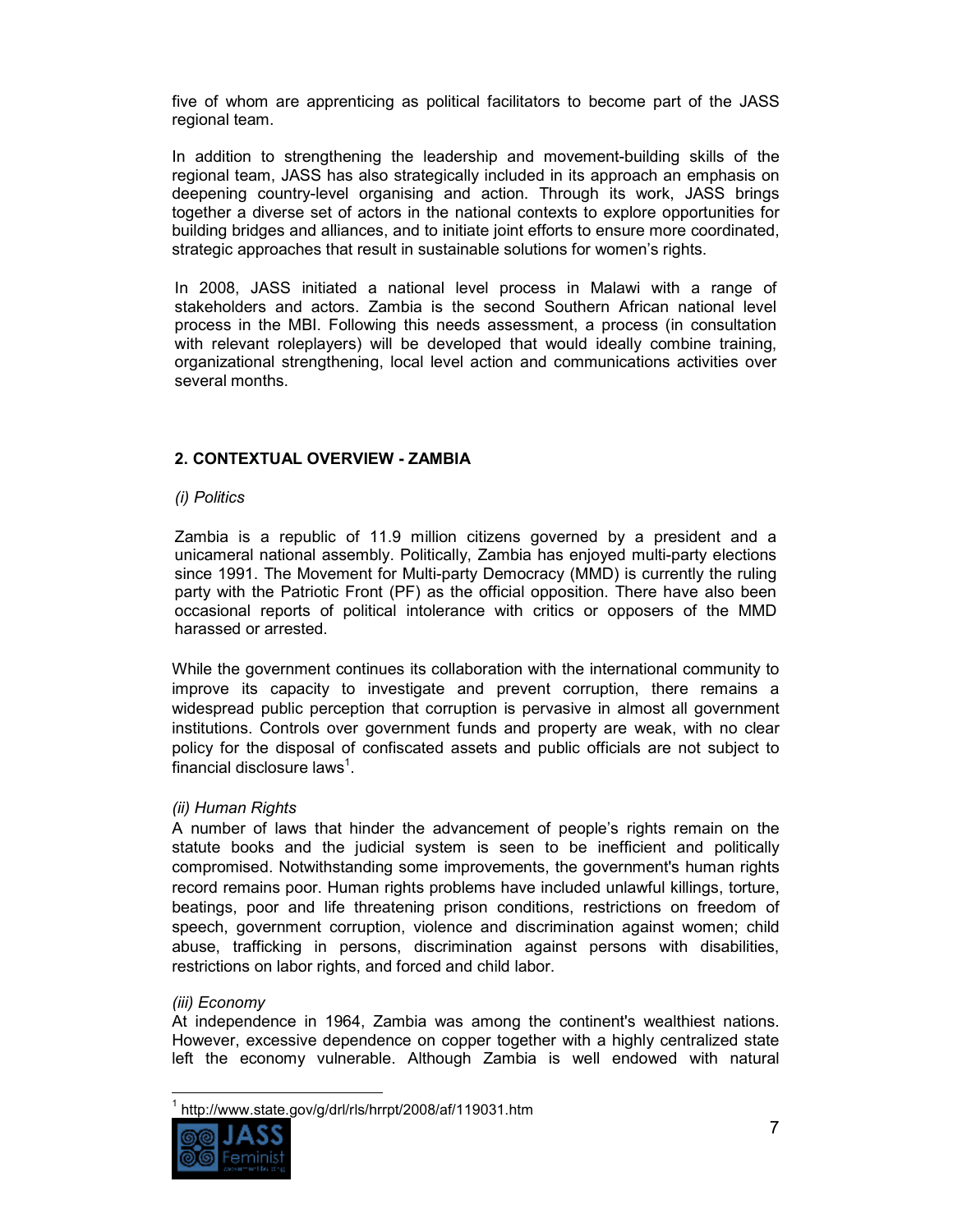five of whom are apprenticing as political facilitators to become part of the JASS regional team.

In addition to strengthening the leadership and movement-building skills of the regional team, JASS has also strategically included in its approach an emphasis on deepening country-level organising and action. Through its work, JASS brings together a diverse set of actors in the national contexts to explore opportunities for building bridges and alliances, and to initiate joint efforts to ensure more coordinated, strategic approaches that result in sustainable solutions for women's rights.

In 2008, JASS initiated a national level process in Malawi with a range of stakeholders and actors. Zambia is the second Southern African national level process in the MBI. Following this needs assessment, a process (in consultation with relevant roleplayers) will be developed that would ideally combine training, organizational strengthening, local level action and communications activities over several months.

## **2. CONTEXTUAL OVERVIEW - ZAMBIA**

## *(i) Politics*

Zambia is a republic of 11.9 million citizens governed by a president and a unicameral national assembly. Politically, Zambia has enjoyed multi-party elections since 1991. The Movement for Multi-party Democracy (MMD) is currently the ruling party with the Patriotic Front (PF) as the official opposition. There have also been occasional reports of political intolerance with critics or opposers of the MMD harassed or arrested.

While the government continues its collaboration with the international community to improve its capacity to investigate and prevent corruption, there remains a widespread public perception that corruption is pervasive in almost all government institutions. Controls over government funds and property are weak, with no clear policy for the disposal of confiscated assets and public officials are not subject to financial disclosure laws $^1$ .

## *(ii) Human Rights*

A number of laws that hinder the advancement of people's rights remain on the statute books and the judicial system is seen to be inefficient and politically compromised. Notwithstanding some improvements, the government's human rights record remains poor. Human rights problems have included unlawful killings, torture, beatings, poor and life threatening prison conditions, restrictions on freedom of speech, government corruption, violence and discrimination against women; child abuse, trafficking in persons, discrimination against persons with disabilities, restrictions on labor rights, and forced and child labor.

#### *(iii) Economy*

At independence in 1964, Zambia was among the continent's wealthiest nations. However, excessive dependence on copper together with a highly centralized state left the economy vulnerable. Although Zambia is well endowed with natural

 $\overline{1}$ 1 http://www.state.gov/g/drl/rls/hrrpt/2008/af/119031.htm

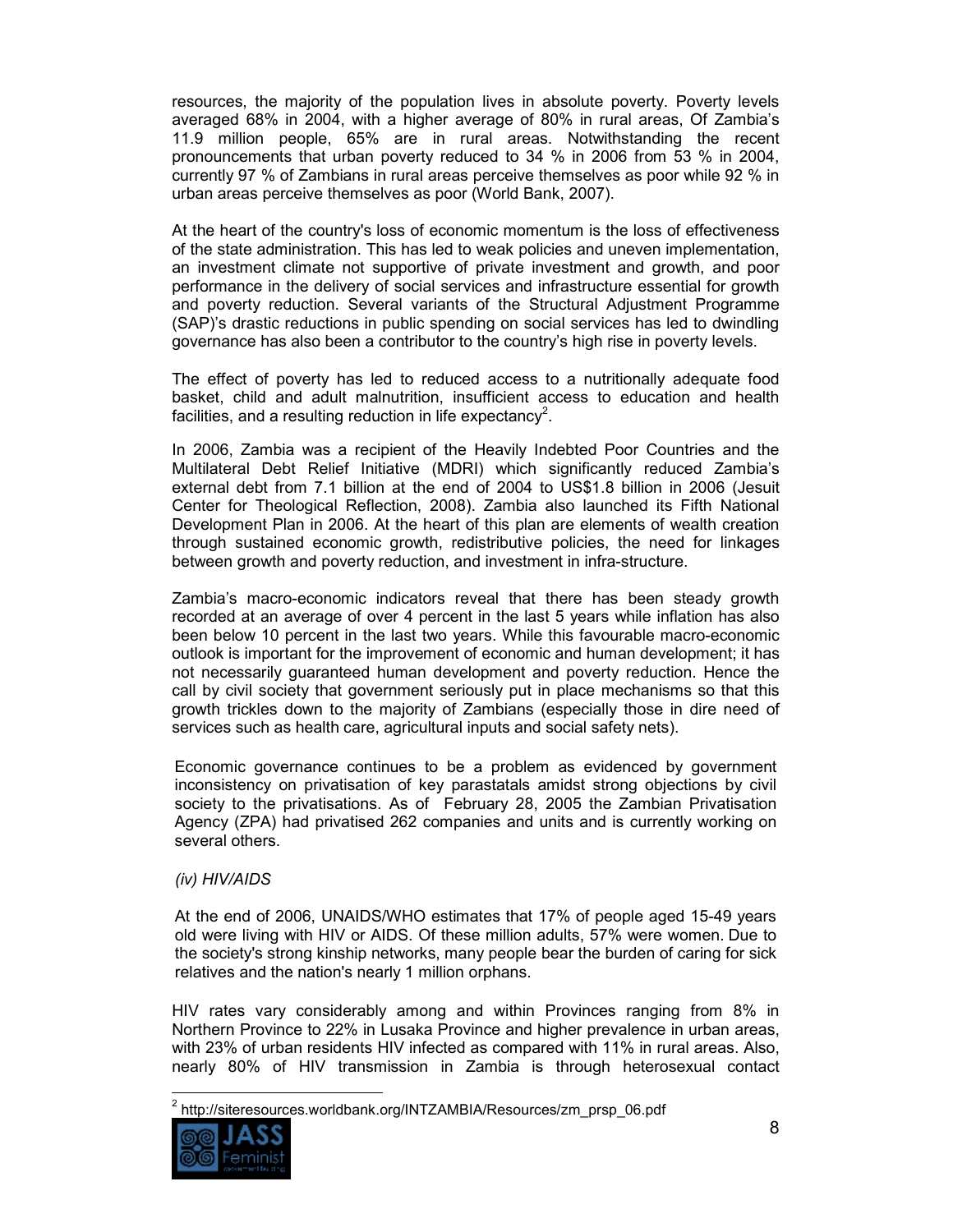resources, the majority of the population lives in absolute poverty. Poverty levels averaged 68% in 2004, with a higher average of 80% in rural areas, Of Zambia's 11.9 million people, 65% are in rural areas. Notwithstanding the recent pronouncements that urban poverty reduced to 34 % in 2006 from 53 % in 2004, currently 97 % of Zambians in rural areas perceive themselves as poor while 92 % in urban areas perceive themselves as poor (World Bank, 2007).

At the heart of the country's loss of economic momentum is the loss of effectiveness of the state administration. This has led to weak policies and uneven implementation, an investment climate not supportive of private investment and growth, and poor performance in the delivery of social services and infrastructure essential for growth and poverty reduction. Several variants of the Structural Adjustment Programme (SAP)'s drastic reductions in public spending on social services has led to dwindling governance has also been a contributor to the country's high rise in poverty levels.

The effect of poverty has led to reduced access to a nutritionally adequate food basket, child and adult malnutrition, insufficient access to education and health facilities, and a resulting reduction in life expectancy<sup>2</sup>.

In 2006, Zambia was a recipient of the Heavily Indebted Poor Countries and the Multilateral Debt Relief Initiative (MDRI) which significantly reduced Zambia's external debt from 7.1 billion at the end of 2004 to US\$1.8 billion in 2006 (Jesuit Center for Theological Reflection, 2008). Zambia also launched its Fifth National Development Plan in 2006. At the heart of this plan are elements of wealth creation through sustained economic growth, redistributive policies, the need for linkages between growth and poverty reduction, and investment in infra-structure.

Zambia's macro-economic indicators reveal that there has been steady growth recorded at an average of over 4 percent in the last 5 years while inflation has also been below 10 percent in the last two years. While this favourable macro-economic outlook is important for the improvement of economic and human development; it has not necessarily guaranteed human development and poverty reduction. Hence the call by civil society that government seriously put in place mechanisms so that this growth trickles down to the majority of Zambians (especially those in dire need of services such as health care, agricultural inputs and social safety nets).

Economic governance continues to be a problem as evidenced by government inconsistency on privatisation of key parastatals amidst strong objections by civil society to the privatisations. As of February 28, 2005 the Zambian Privatisation Agency (ZPA) had privatised 262 companies and units and is currently working on several others.

## *(iv) HIV/AIDS*

At the end of 2006, UNAIDS/WHO estimates that 17% of people aged 15-49 years old were living with HIV or AIDS. Of these million adults, 57% were women. Due to the society's strong kinship networks, many people bear the burden of caring for sick relatives and the nation's nearly 1 million orphans.

HIV rates vary considerably among and within Provinces ranging from 8% in Northern Province to 22% in Lusaka Province and higher prevalence in urban areas, with 23% of urban residents HIV infected as compared with 11% in rural areas. Also, nearly 80% of HIV transmission in Zambia is through heterosexual contact

 2 http://siteresources.worldbank.org/INTZAMBIA/Resources/zm\_prsp\_06.pdf

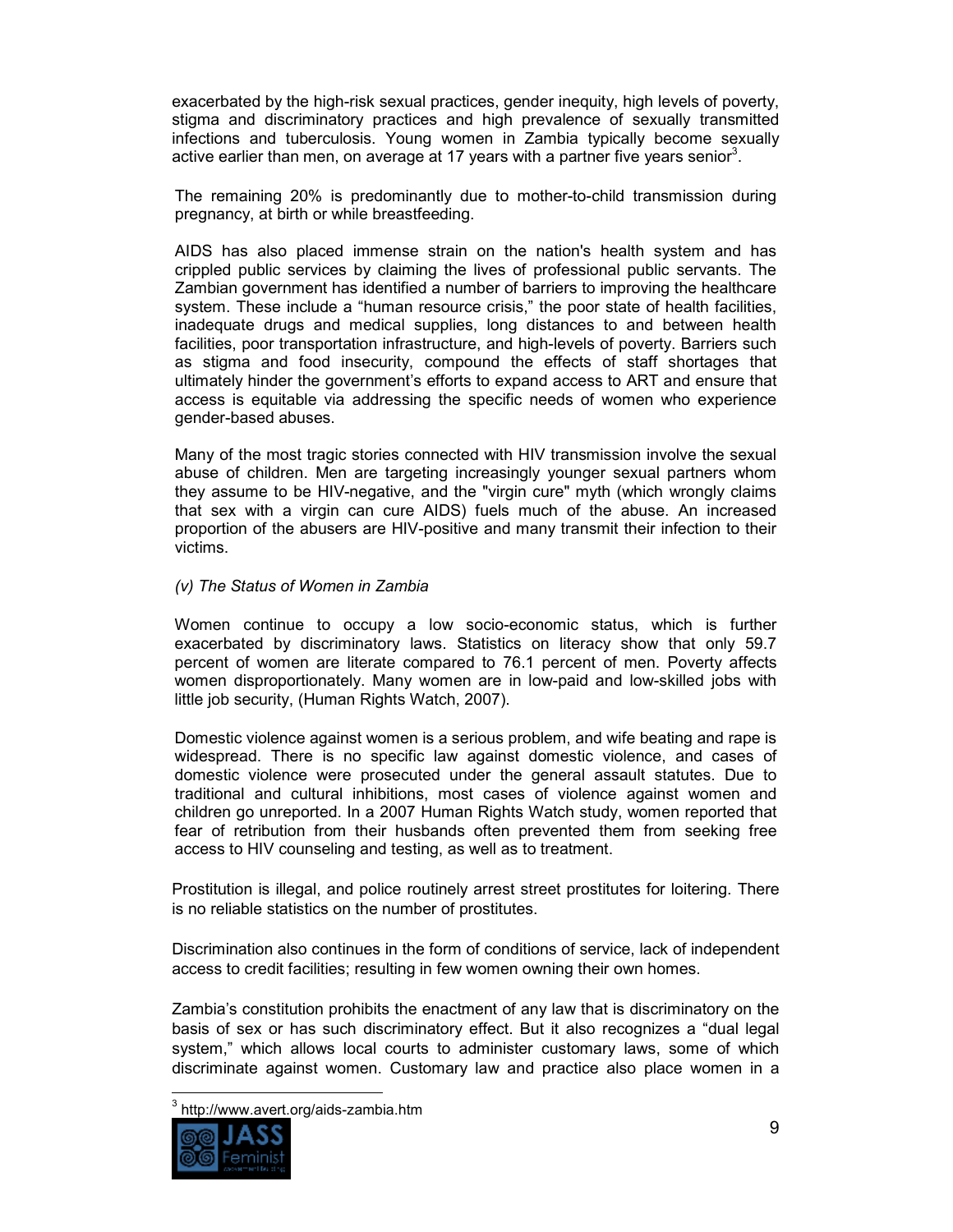exacerbated by the high-risk sexual practices, gender inequity, high levels of poverty, stigma and discriminatory practices and high prevalence of sexually transmitted infections and tuberculosis. Young women in Zambia typically become sexually active earlier than men, on average at 17 years with a partner five years senior<sup>3</sup>.

The remaining 20% is predominantly due to mother-to-child transmission during pregnancy, at birth or while breastfeeding.

AIDS has also placed immense strain on the nation's health system and has crippled public services by claiming the lives of professional public servants. The Zambian government has identified a number of barriers to improving the healthcare system. These include a "human resource crisis," the poor state of health facilities, inadequate drugs and medical supplies, long distances to and between health facilities, poor transportation infrastructure, and high-levels of poverty. Barriers such as stigma and food insecurity, compound the effects of staff shortages that ultimately hinder the government's efforts to expand access to ART and ensure that access is equitable via addressing the specific needs of women who experience gender-based abuses.

Many of the most tragic stories connected with HIV transmission involve the sexual abuse of children. Men are targeting increasingly younger sexual partners whom they assume to be HIV-negative, and the "virgin cure" myth (which wrongly claims that sex with a virgin can cure AIDS) fuels much of the abuse. An increased proportion of the abusers are HIV-positive and many transmit their infection to their victims.

#### *(v) The Status of Women in Zambia*

Women continue to occupy a low socio-economic status, which is further exacerbated by discriminatory laws. Statistics on literacy show that only 59.7 percent of women are literate compared to 76.1 percent of men. Poverty affects women disproportionately. Many women are in low-paid and low-skilled jobs with little job security, (Human Rights Watch, 2007).

Domestic violence against women is a serious problem, and wife beating and rape is widespread. There is no specific law against domestic violence, and cases of domestic violence were prosecuted under the general assault statutes. Due to traditional and cultural inhibitions, most cases of violence against women and children go unreported. In a 2007 Human Rights Watch study, women reported that fear of retribution from their husbands often prevented them from seeking free access to HIV counseling and testing, as well as to treatment.

Prostitution is illegal, and police routinely arrest street prostitutes for loitering. There is no reliable statistics on the number of prostitutes.

Discrimination also continues in the form of conditions of service, lack of independent access to credit facilities; resulting in few women owning their own homes.

Zambia's constitution prohibits the enactment of any law that is discriminatory on the basis of sex or has such discriminatory effect. But it also recognizes a "dual legal system," which allows local courts to administer customary laws, some of which discriminate against women. Customary law and practice also place women in a

 $\frac{1}{2}$ <sup>3</sup> http://www.avert.org/aids-zambia.htm

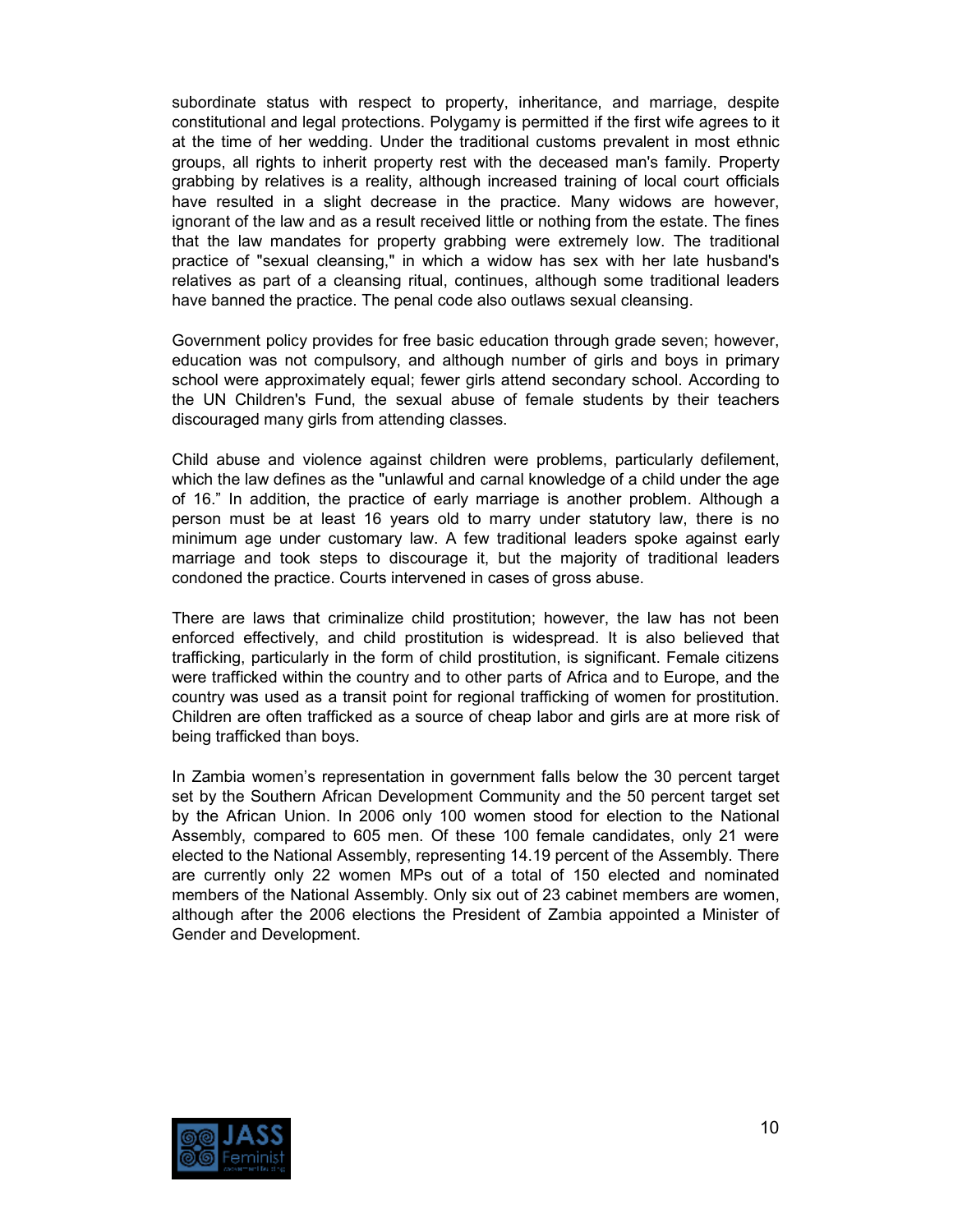subordinate status with respect to property, inheritance, and marriage, despite constitutional and legal protections. Polygamy is permitted if the first wife agrees to it at the time of her wedding. Under the traditional customs prevalent in most ethnic groups, all rights to inherit property rest with the deceased man's family. Property grabbing by relatives is a reality, although increased training of local court officials have resulted in a slight decrease in the practice. Many widows are however, ignorant of the law and as a result received little or nothing from the estate. The fines that the law mandates for property grabbing were extremely low. The traditional practice of "sexual cleansing," in which a widow has sex with her late husband's relatives as part of a cleansing ritual, continues, although some traditional leaders have banned the practice. The penal code also outlaws sexual cleansing.

Government policy provides for free basic education through grade seven; however, education was not compulsory, and although number of girls and boys in primary school were approximately equal; fewer girls attend secondary school. According to the UN Children's Fund, the sexual abuse of female students by their teachers discouraged many girls from attending classes.

Child abuse and violence against children were problems, particularly defilement, which the law defines as the "unlawful and carnal knowledge of a child under the age of 16." In addition, the practice of early marriage is another problem. Although a person must be at least 16 years old to marry under statutory law, there is no minimum age under customary law. A few traditional leaders spoke against early marriage and took steps to discourage it, but the majority of traditional leaders condoned the practice. Courts intervened in cases of gross abuse.

There are laws that criminalize child prostitution; however, the law has not been enforced effectively, and child prostitution is widespread. It is also believed that trafficking, particularly in the form of child prostitution, is significant. Female citizens were trafficked within the country and to other parts of Africa and to Europe, and the country was used as a transit point for regional trafficking of women for prostitution. Children are often trafficked as a source of cheap labor and girls are at more risk of being trafficked than boys.

In Zambia women's representation in government falls below the 30 percent target set by the Southern African Development Community and the 50 percent target set by the African Union. In 2006 only 100 women stood for election to the National Assembly, compared to 605 men. Of these 100 female candidates, only 21 were elected to the National Assembly, representing 14.19 percent of the Assembly. There are currently only 22 women MPs out of a total of 150 elected and nominated members of the National Assembly. Only six out of 23 cabinet members are women, although after the 2006 elections the President of Zambia appointed a Minister of Gender and Development.

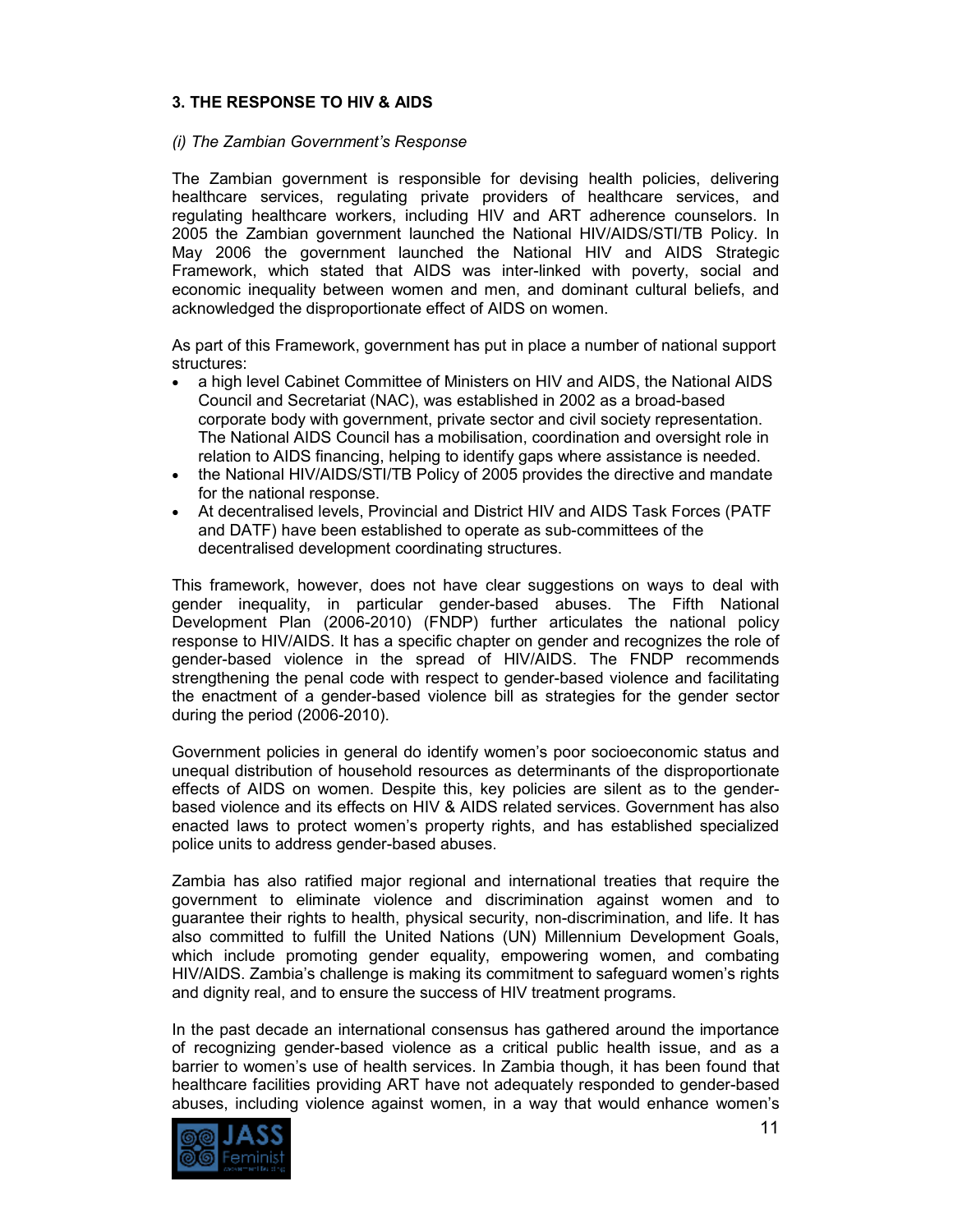## **3. THE RESPONSE TO HIV & AIDS**

#### *(i) The Zambian Government's Response*

The Zambian government is responsible for devising health policies, delivering healthcare services, regulating private providers of healthcare services, and regulating healthcare workers, including HIV and ART adherence counselors. In 2005 the Zambian government launched the National HIV/AIDS/STI/TB Policy. In May 2006 the government launched the National HIV and AIDS Strategic Framework, which stated that AIDS was inter-linked with poverty, social and economic inequality between women and men, and dominant cultural beliefs, and acknowledged the disproportionate effect of AIDS on women.

As part of this Framework, government has put in place a number of national support structures:

- a high level Cabinet Committee of Ministers on HIV and AIDS, the National AIDS Council and Secretariat (NAC), was established in 2002 as a broad-based corporate body with government, private sector and civil society representation. The National AIDS Council has a mobilisation, coordination and oversight role in relation to AIDS financing, helping to identify gaps where assistance is needed.
- the National HIV/AIDS/STI/TB Policy of 2005 provides the directive and mandate for the national response.
- At decentralised levels, Provincial and District HIV and AIDS Task Forces (PATF and DATF) have been established to operate as sub-committees of the decentralised development coordinating structures.

This framework, however, does not have clear suggestions on ways to deal with gender inequality, in particular gender-based abuses. The Fifth National Development Plan (2006-2010) (FNDP) further articulates the national policy response to HIV/AIDS. It has a specific chapter on gender and recognizes the role of gender-based violence in the spread of HIV/AIDS. The FNDP recommends strengthening the penal code with respect to gender-based violence and facilitating the enactment of a gender-based violence bill as strategies for the gender sector during the period (2006-2010).

Government policies in general do identify women's poor socioeconomic status and unequal distribution of household resources as determinants of the disproportionate effects of AIDS on women. Despite this, key policies are silent as to the genderbased violence and its effects on HIV & AIDS related services. Government has also enacted laws to protect women's property rights, and has established specialized police units to address gender-based abuses.

Zambia has also ratified major regional and international treaties that require the government to eliminate violence and discrimination against women and to guarantee their rights to health, physical security, non-discrimination, and life. It has also committed to fulfill the United Nations (UN) Millennium Development Goals, which include promoting gender equality, empowering women, and combating HIV/AIDS. Zambia's challenge is making its commitment to safeguard women's rights and dignity real, and to ensure the success of HIV treatment programs.

In the past decade an international consensus has gathered around the importance of recognizing gender-based violence as a critical public health issue, and as a barrier to women's use of health services. In Zambia though, it has been found that healthcare facilities providing ART have not adequately responded to gender-based abuses, including violence against women, in a way that would enhance women's

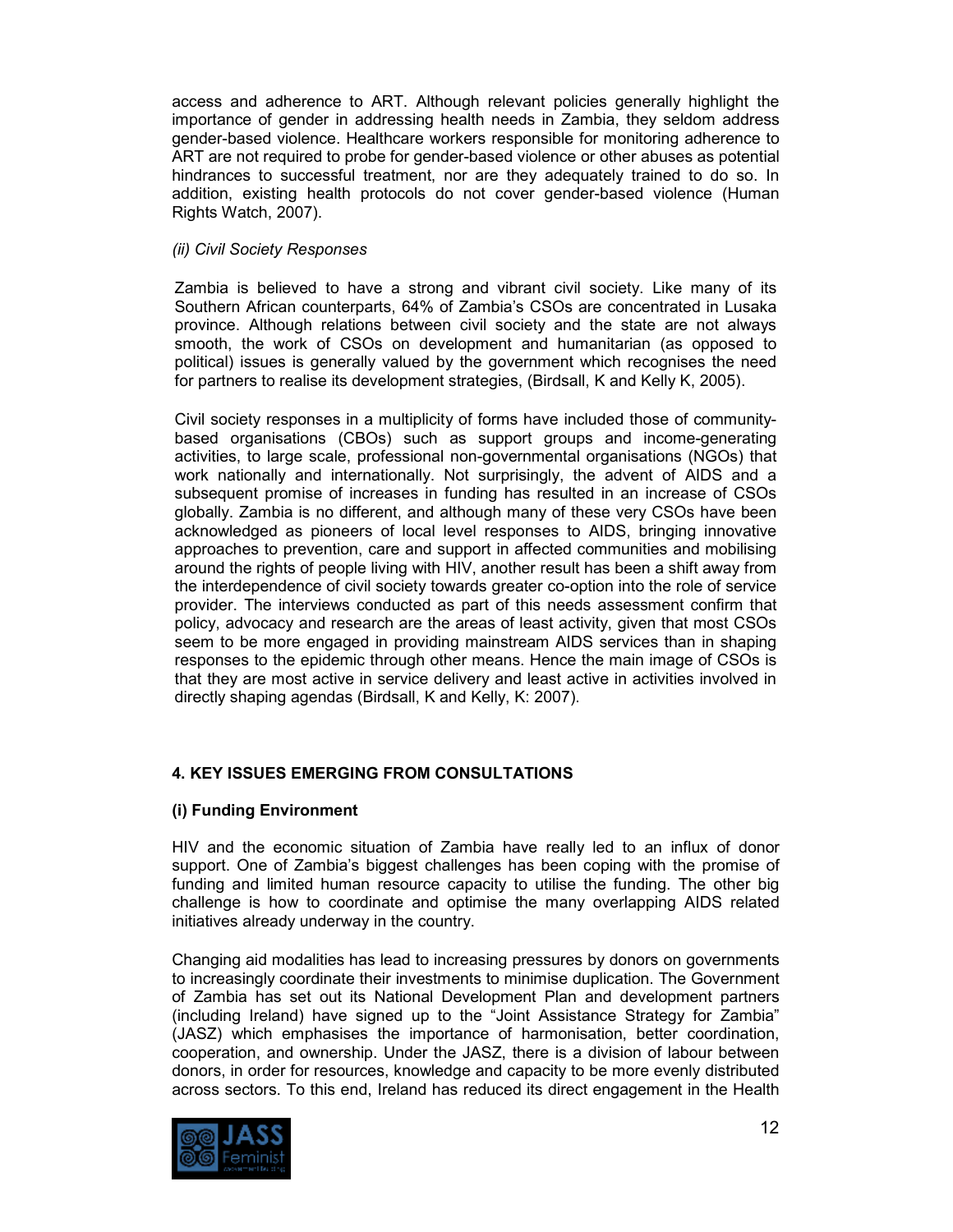access and adherence to ART. Although relevant policies generally highlight the importance of gender in addressing health needs in Zambia, they seldom address gender-based violence. Healthcare workers responsible for monitoring adherence to ART are not required to probe for gender-based violence or other abuses as potential hindrances to successful treatment, nor are they adequately trained to do so. In addition, existing health protocols do not cover gender-based violence (Human Rights Watch, 2007).

## *(ii) Civil Society Responses*

Zambia is believed to have a strong and vibrant civil society. Like many of its Southern African counterparts, 64% of Zambia's CSOs are concentrated in Lusaka province. Although relations between civil society and the state are not always smooth, the work of CSOs on development and humanitarian (as opposed to political) issues is generally valued by the government which recognises the need for partners to realise its development strategies, (Birdsall, K and Kelly K, 2005).

Civil society responses in a multiplicity of forms have included those of communitybased organisations (CBOs) such as support groups and income-generating activities, to large scale, professional non-governmental organisations (NGOs) that work nationally and internationally. Not surprisingly, the advent of AIDS and a subsequent promise of increases in funding has resulted in an increase of CSOs globally. Zambia is no different, and although many of these very CSOs have been acknowledged as pioneers of local level responses to AIDS, bringing innovative approaches to prevention, care and support in affected communities and mobilising around the rights of people living with HIV, another result has been a shift away from the interdependence of civil society towards greater co-option into the role of service provider. The interviews conducted as part of this needs assessment confirm that policy, advocacy and research are the areas of least activity, given that most CSOs seem to be more engaged in providing mainstream AIDS services than in shaping responses to the epidemic through other means. Hence the main image of CSOs is that they are most active in service delivery and least active in activities involved in directly shaping agendas (Birdsall, K and Kelly, K: 2007).

# **4. KEY ISSUES EMERGING FROM CONSULTATIONS**

# **(i) Funding Environment**

HIV and the economic situation of Zambia have really led to an influx of donor support. One of Zambia's biggest challenges has been coping with the promise of funding and limited human resource capacity to utilise the funding. The other big challenge is how to coordinate and optimise the many overlapping AIDS related initiatives already underway in the country.

Changing aid modalities has lead to increasing pressures by donors on governments to increasingly coordinate their investments to minimise duplication. The Government of Zambia has set out its National Development Plan and development partners (including Ireland) have signed up to the "Joint Assistance Strategy for Zambia" (JASZ) which emphasises the importance of harmonisation, better coordination, cooperation, and ownership. Under the JASZ, there is a division of labour between donors, in order for resources, knowledge and capacity to be more evenly distributed across sectors. To this end, Ireland has reduced its direct engagement in the Health

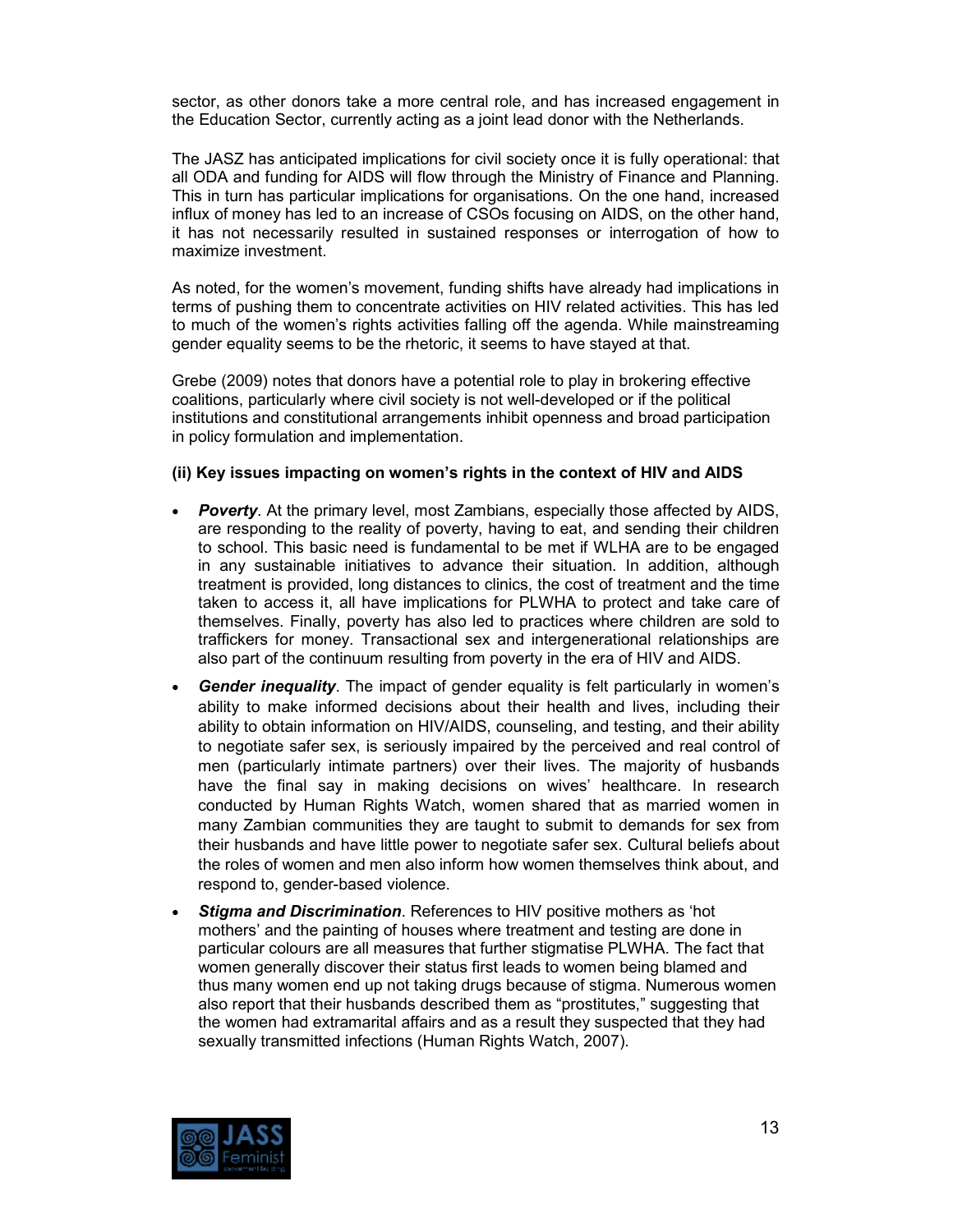sector, as other donors take a more central role, and has increased engagement in the Education Sector, currently acting as a joint lead donor with the Netherlands.

The JASZ has anticipated implications for civil society once it is fully operational: that all ODA and funding for AIDS will flow through the Ministry of Finance and Planning. This in turn has particular implications for organisations. On the one hand, increased influx of money has led to an increase of CSOs focusing on AIDS, on the other hand, it has not necessarily resulted in sustained responses or interrogation of how to maximize investment.

As noted, for the women's movement, funding shifts have already had implications in terms of pushing them to concentrate activities on HIV related activities. This has led to much of the women's rights activities falling off the agenda. While mainstreaming gender equality seems to be the rhetoric, it seems to have stayed at that.

Grebe (2009) notes that donors have a potential role to play in brokering effective coalitions, particularly where civil society is not well-developed or if the political institutions and constitutional arrangements inhibit openness and broad participation in policy formulation and implementation.

#### **(ii) Key issues impacting on women's rights in the context of HIV and AIDS**

- *Poverty*. At the primary level, most Zambians, especially those affected by AIDS, are responding to the reality of poverty, having to eat, and sending their children to school. This basic need is fundamental to be met if WLHA are to be engaged in any sustainable initiatives to advance their situation. In addition, although treatment is provided, long distances to clinics, the cost of treatment and the time taken to access it, all have implications for PLWHA to protect and take care of themselves. Finally, poverty has also led to practices where children are sold to traffickers for money. Transactional sex and intergenerational relationships are also part of the continuum resulting from poverty in the era of HIV and AIDS.
- *Gender inequality*. The impact of gender equality is felt particularly in women's ability to make informed decisions about their health and lives, including their ability to obtain information on HIV/AIDS, counseling, and testing, and their ability to negotiate safer sex, is seriously impaired by the perceived and real control of men (particularly intimate partners) over their lives. The majority of husbands have the final say in making decisions on wives' healthcare. In research conducted by Human Rights Watch, women shared that as married women in many Zambian communities they are taught to submit to demands for sex from their husbands and have little power to negotiate safer sex. Cultural beliefs about the roles of women and men also inform how women themselves think about, and respond to, gender-based violence.
- *Stigma and Discrimination*. References to HIV positive mothers as 'hot mothers' and the painting of houses where treatment and testing are done in particular colours are all measures that further stigmatise PLWHA. The fact that women generally discover their status first leads to women being blamed and thus many women end up not taking drugs because of stigma. Numerous women also report that their husbands described them as "prostitutes," suggesting that the women had extramarital affairs and as a result they suspected that they had sexually transmitted infections (Human Rights Watch, 2007).

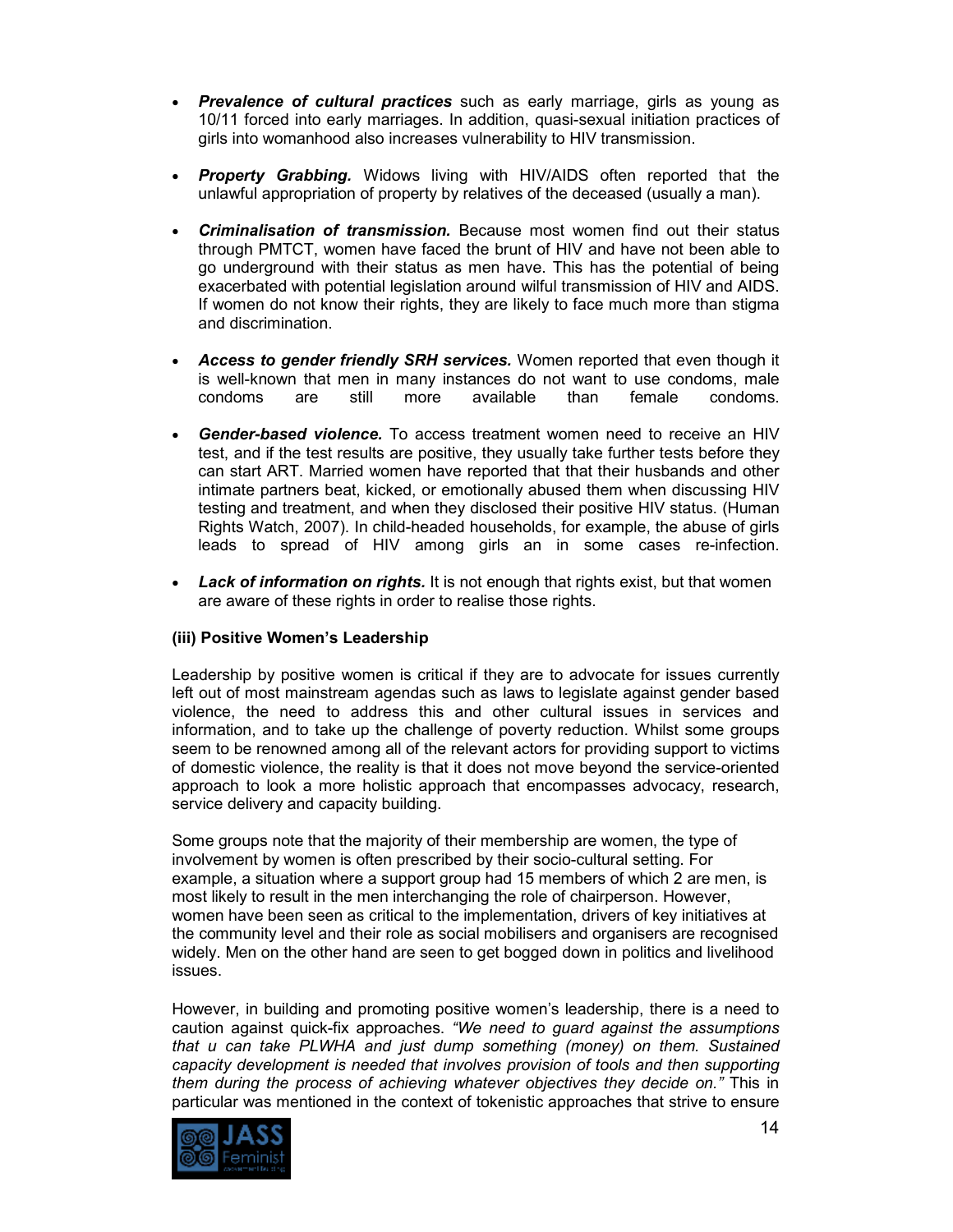- *Prevalence of cultural practices* such as early marriage, girls as young as 10/11 forced into early marriages. In addition, quasi-sexual initiation practices of girls into womanhood also increases vulnerability to HIV transmission.
- *Property Grabbing.* Widows living with HIV/AIDS often reported that the unlawful appropriation of property by relatives of the deceased (usually a man).
- *Criminalisation of transmission.* Because most women find out their status through PMTCT, women have faced the brunt of HIV and have not been able to go underground with their status as men have. This has the potential of being exacerbated with potential legislation around wilful transmission of HIV and AIDS. If women do not know their rights, they are likely to face much more than stigma and discrimination.
- *Access to gender friendly SRH services.* Women reported that even though it is well-known that men in many instances do not want to use condoms, male condoms are still more available than female condoms.
- *Gender-based violence.* To access treatment women need to receive an HIV test, and if the test results are positive, they usually take further tests before they can start ART. Married women have reported that that their husbands and other intimate partners beat, kicked, or emotionally abused them when discussing HIV testing and treatment, and when they disclosed their positive HIV status. (Human Rights Watch, 2007). In child-headed households, for example, the abuse of girls leads to spread of HIV among girls an in some cases re-infection.
- *Lack of information on rights.* It is not enough that rights exist, but that women are aware of these rights in order to realise those rights.

## **(iii) Positive Women's Leadership**

Leadership by positive women is critical if they are to advocate for issues currently left out of most mainstream agendas such as laws to legislate against gender based violence, the need to address this and other cultural issues in services and information, and to take up the challenge of poverty reduction. Whilst some groups seem to be renowned among all of the relevant actors for providing support to victims of domestic violence, the reality is that it does not move beyond the service-oriented approach to look a more holistic approach that encompasses advocacy, research, service delivery and capacity building.

Some groups note that the majority of their membership are women, the type of involvement by women is often prescribed by their socio-cultural setting. For example, a situation where a support group had 15 members of which 2 are men, is most likely to result in the men interchanging the role of chairperson. However, women have been seen as critical to the implementation, drivers of key initiatives at the community level and their role as social mobilisers and organisers are recognised widely. Men on the other hand are seen to get bogged down in politics and livelihood issues.

However, in building and promoting positive women's leadership, there is a need to caution against quick-fix approaches. *"We need to guard against the assumptions that u can take PLWHA and just dump something (money) on them. Sustained capacity development is needed that involves provision of tools and then supporting them during the process of achieving whatever objectives they decide on."* This in particular was mentioned in the context of tokenistic approaches that strive to ensure

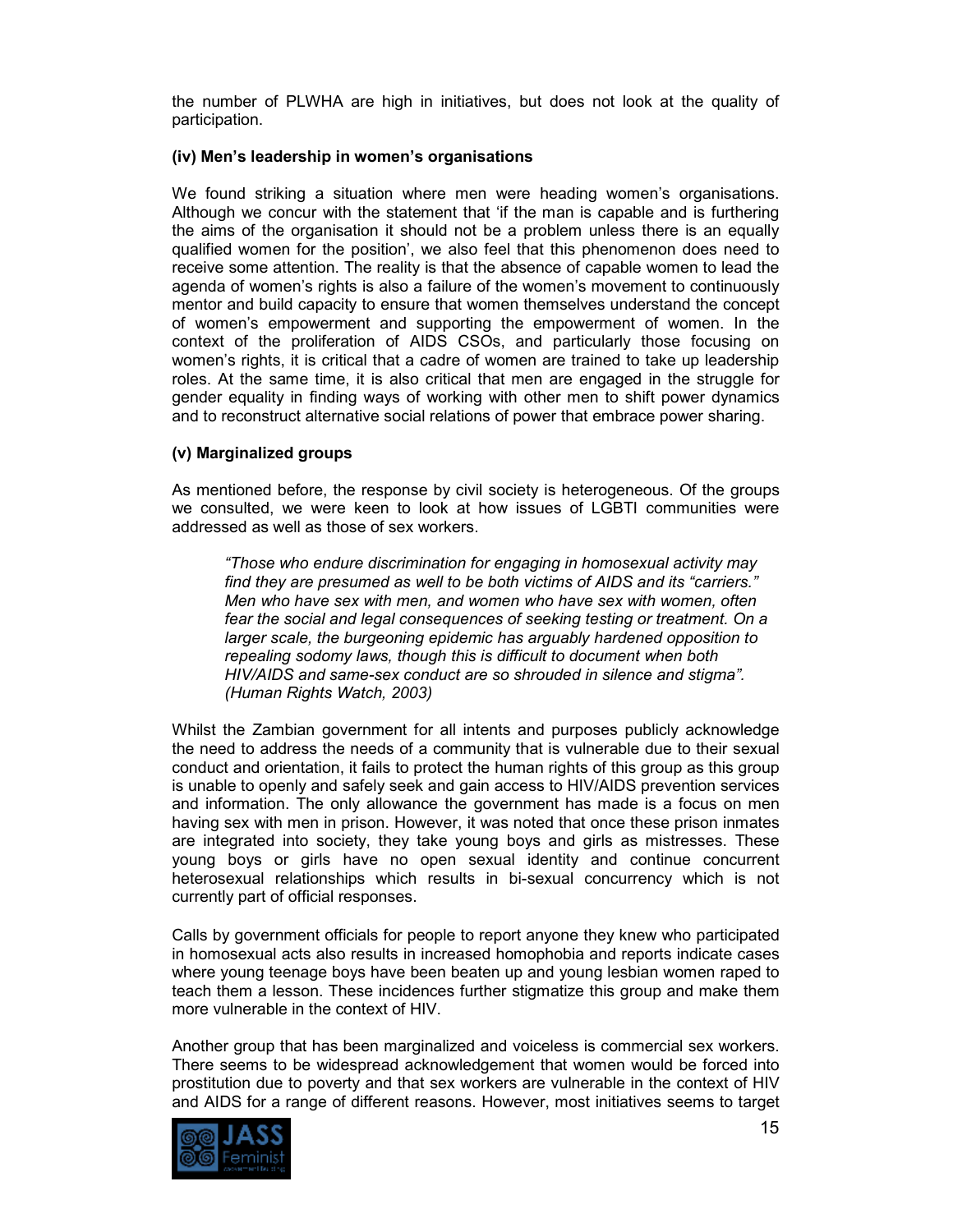the number of PLWHA are high in initiatives, but does not look at the quality of participation.

#### **(iv) Men's leadership in women's organisations**

We found striking a situation where men were heading women's organisations. Although we concur with the statement that 'if the man is capable and is furthering the aims of the organisation it should not be a problem unless there is an equally qualified women for the position', we also feel that this phenomenon does need to receive some attention. The reality is that the absence of capable women to lead the agenda of women's rights is also a failure of the women's movement to continuously mentor and build capacity to ensure that women themselves understand the concept of women's empowerment and supporting the empowerment of women. In the context of the proliferation of AIDS CSOs, and particularly those focusing on women's rights, it is critical that a cadre of women are trained to take up leadership roles. At the same time, it is also critical that men are engaged in the struggle for gender equality in finding ways of working with other men to shift power dynamics and to reconstruct alternative social relations of power that embrace power sharing.

## **(v) Marginalized groups**

As mentioned before, the response by civil society is heterogeneous. Of the groups we consulted, we were keen to look at how issues of LGBTI communities were addressed as well as those of sex workers.

*"Those who endure discrimination for engaging in homosexual activity may find they are presumed as well to be both victims of AIDS and its "carriers." Men who have sex with men, and women who have sex with women, often fear the social and legal consequences of seeking testing or treatment. On a larger scale, the burgeoning epidemic has arguably hardened opposition to repealing sodomy laws, though this is difficult to document when both HIV/AIDS and same-sex conduct are so shrouded in silence and stigma". (Human Rights Watch, 2003)* 

Whilst the Zambian government for all intents and purposes publicly acknowledge the need to address the needs of a community that is vulnerable due to their sexual conduct and orientation, it fails to protect the human rights of this group as this group is unable to openly and safely seek and gain access to HIV/AIDS prevention services and information. The only allowance the government has made is a focus on men having sex with men in prison. However, it was noted that once these prison inmates are integrated into society, they take young boys and girls as mistresses. These young boys or girls have no open sexual identity and continue concurrent heterosexual relationships which results in bi-sexual concurrency which is not currently part of official responses.

Calls by government officials for people to report anyone they knew who participated in homosexual acts also results in increased homophobia and reports indicate cases where young teenage boys have been beaten up and young lesbian women raped to teach them a lesson. These incidences further stigmatize this group and make them more vulnerable in the context of HIV.

Another group that has been marginalized and voiceless is commercial sex workers. There seems to be widespread acknowledgement that women would be forced into prostitution due to poverty and that sex workers are vulnerable in the context of HIV and AIDS for a range of different reasons. However, most initiatives seems to target

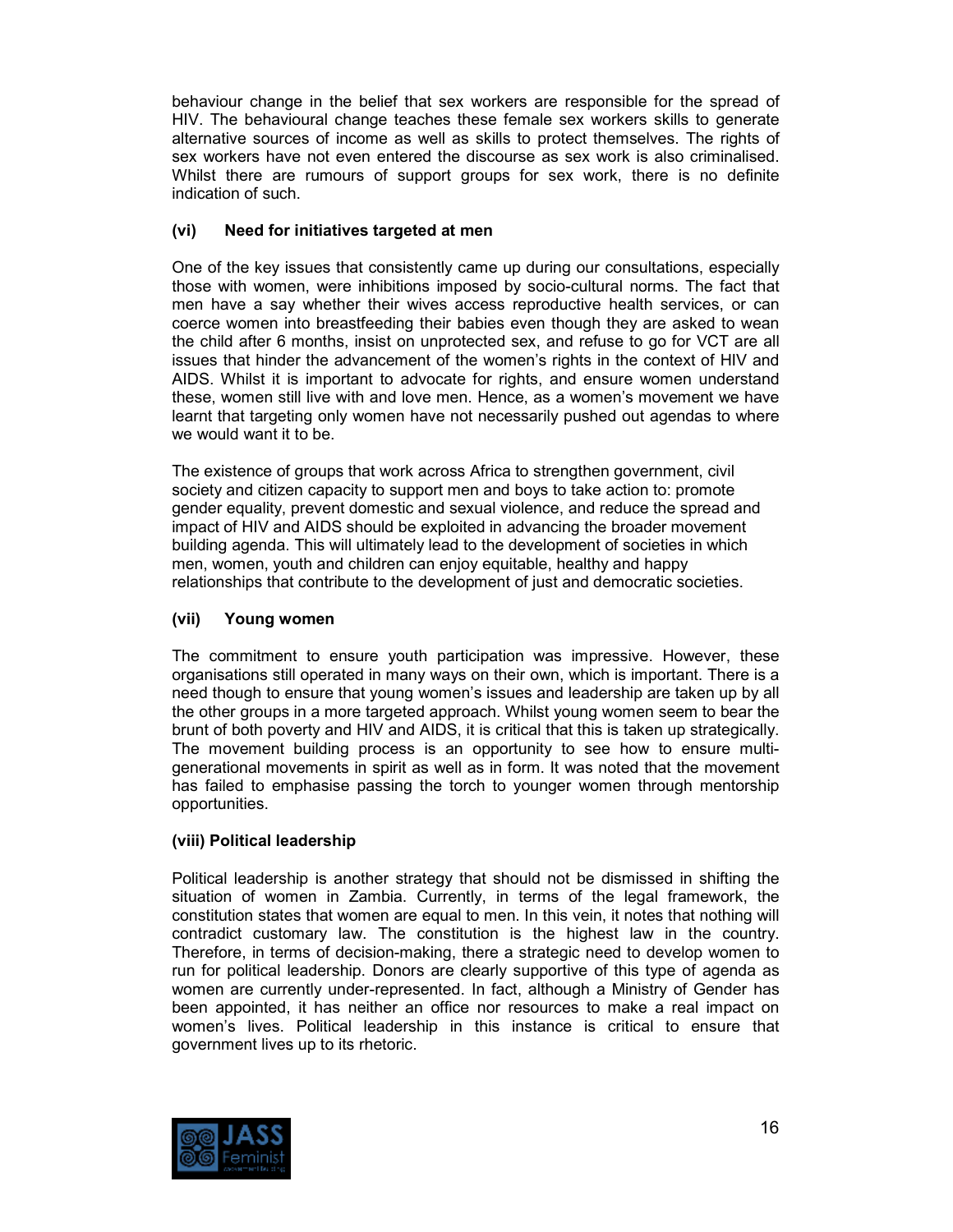behaviour change in the belief that sex workers are responsible for the spread of HIV. The behavioural change teaches these female sex workers skills to generate alternative sources of income as well as skills to protect themselves. The rights of sex workers have not even entered the discourse as sex work is also criminalised. Whilst there are rumours of support groups for sex work, there is no definite indication of such.

# **(vi) Need for initiatives targeted at men**

One of the key issues that consistently came up during our consultations, especially those with women, were inhibitions imposed by socio-cultural norms. The fact that men have a say whether their wives access reproductive health services, or can coerce women into breastfeeding their babies even though they are asked to wean the child after 6 months, insist on unprotected sex, and refuse to go for VCT are all issues that hinder the advancement of the women's rights in the context of HIV and AIDS. Whilst it is important to advocate for rights, and ensure women understand these, women still live with and love men. Hence, as a women's movement we have learnt that targeting only women have not necessarily pushed out agendas to where we would want it to be.

The existence of groups that work across Africa to strengthen government, civil society and citizen capacity to support men and boys to take action to: promote gender equality, prevent domestic and sexual violence, and reduce the spread and impact of HIV and AIDS should be exploited in advancing the broader movement building agenda. This will ultimately lead to the development of societies in which men, women, youth and children can enjoy equitable, healthy and happy relationships that contribute to the development of just and democratic societies.

# **(vii) Young women**

The commitment to ensure youth participation was impressive. However, these organisations still operated in many ways on their own, which is important. There is a need though to ensure that young women's issues and leadership are taken up by all the other groups in a more targeted approach. Whilst young women seem to bear the brunt of both poverty and HIV and AIDS, it is critical that this is taken up strategically. The movement building process is an opportunity to see how to ensure multigenerational movements in spirit as well as in form. It was noted that the movement has failed to emphasise passing the torch to younger women through mentorship opportunities.

# **(viii) Political leadership**

Political leadership is another strategy that should not be dismissed in shifting the situation of women in Zambia. Currently, in terms of the legal framework, the constitution states that women are equal to men. In this vein, it notes that nothing will contradict customary law. The constitution is the highest law in the country. Therefore, in terms of decision-making, there a strategic need to develop women to run for political leadership. Donors are clearly supportive of this type of agenda as women are currently under-represented. In fact, although a Ministry of Gender has been appointed, it has neither an office nor resources to make a real impact on women's lives. Political leadership in this instance is critical to ensure that government lives up to its rhetoric.

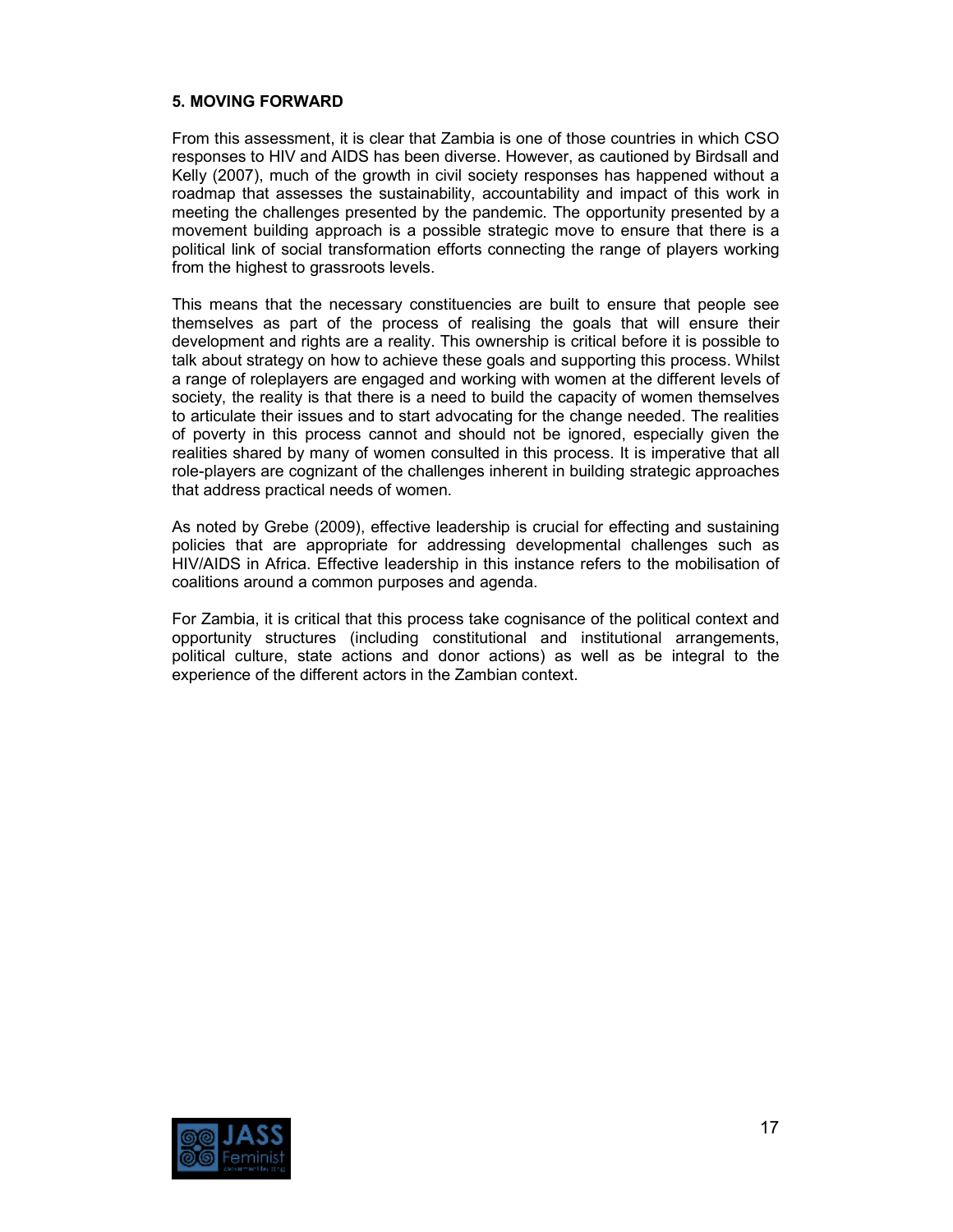## **5. MOVING FORWARD**

From this assessment, it is clear that Zambia is one of those countries in which CSO responses to HIV and AIDS has been diverse. However, as cautioned by Birdsall and Kelly (2007), much of the growth in civil society responses has happened without a roadmap that assesses the sustainability, accountability and impact of this work in meeting the challenges presented by the pandemic. The opportunity presented by a movement building approach is a possible strategic move to ensure that there is a political link of social transformation efforts connecting the range of players working from the highest to grassroots levels.

This means that the necessary constituencies are built to ensure that people see themselves as part of the process of realising the goals that will ensure their development and rights are a reality. This ownership is critical before it is possible to talk about strategy on how to achieve these goals and supporting this process. Whilst a range of roleplayers are engaged and working with women at the different levels of society, the reality is that there is a need to build the capacity of women themselves to articulate their issues and to start advocating for the change needed. The realities of poverty in this process cannot and should not be ignored, especially given the realities shared by many of women consulted in this process. It is imperative that all role-players are cognizant of the challenges inherent in building strategic approaches that address practical needs of women.

As noted by Grebe (2009), effective leadership is crucial for effecting and sustaining policies that are appropriate for addressing developmental challenges such as HIV/AIDS in Africa. Effective leadership in this instance refers to the mobilisation of coalitions around a common purposes and agenda.

For Zambia, it is critical that this process take cognisance of the political context and opportunity structures (including constitutional and institutional arrangements, political culture, state actions and donor actions) as well as be integral to the experience of the different actors in the Zambian context.